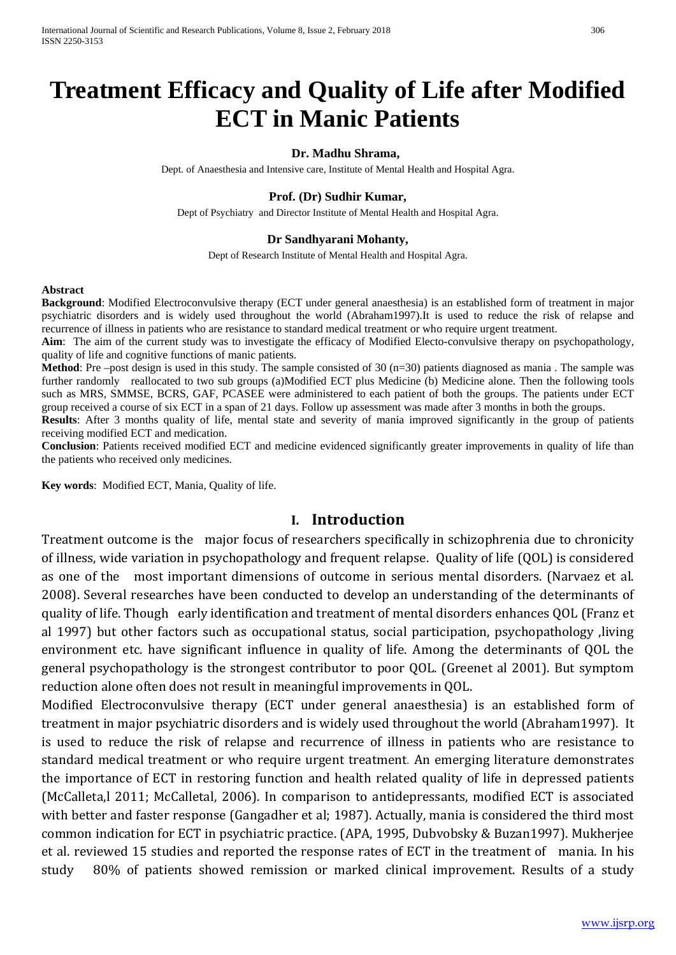# **Treatment Efficacy and Quality of Life after Modified ECT in Manic Patients**

#### **Dr. Madhu Shrama,**

Dept. of Anaesthesia and Intensive care, Institute of Mental Health and Hospital Agra.

#### **Prof. (Dr) Sudhir Kumar,**

Dept of Psychiatry and Director Institute of Mental Health and Hospital Agra.

#### **Dr Sandhyarani Mohanty,**

Dept of Research Institute of Mental Health and Hospital Agra.

#### **Abstract**

**Background**: Modified Electroconvulsive therapy (ECT under general anaesthesia) is an established form of treatment in major psychiatric disorders and is widely used throughout the world (Abraham1997).It is used to reduce the risk of relapse and recurrence of illness in patients who are resistance to standard medical treatment or who require urgent treatment.

**Aim**: The aim of the current study was to investigate the efficacy of Modified Electo-convulsive therapy on psychopathology, quality of life and cognitive functions of manic patients.

**Method**: Pre –post design is used in this study. The sample consisted of 30 (n=30) patients diagnosed as mania. The sample was further randomly reallocated to two sub groups (a)Modified ECT plus Medicine (b) Medicine alone. Then the following tools such as MRS, SMMSE, BCRS, GAF, PCASEE were administered to each patient of both the groups. The patients under ECT group received a course of six ECT in a span of 21 days. Follow up assessment was made after 3 months in both the groups.

**Results**: After 3 months quality of life, mental state and severity of mania improved significantly in the group of patients receiving modified ECT and medication.

**Conclusion**: Patients received modified ECT and medicine evidenced significantly greater improvements in quality of life than the patients who received only medicines.

**Key words**: Modified ECT, Mania, Quality of life.

#### **I. Introduction**

Treatment outcome is the major focus of researchers specifically in schizophrenia due to chronicity of illness, wide variation in psychopathology and frequent relapse. Quality of life (QOL) is considered as one of the most important dimensions of outcome in serious mental disorders. (Narvaez et al. 2008). Several researches have been conducted to develop an understanding of the determinants of quality of life. Though early identification and treatment of mental disorders enhances QOL (Franz et al 1997) but other factors such as occupational status, social participation, psychopathology ,living environment etc. have significant influence in quality of life. Among the determinants of QOL the general psychopathology is the strongest contributor to poor QOL. (Greenet al 2001). But symptom reduction alone often does not result in meaningful improvements in QOL.

Modified Electroconvulsive therapy (ECT under general anaesthesia) is an established form of treatment in major psychiatric disorders and is widely used throughout the world (Abraham1997). It is used to reduce the risk of relapse and recurrence of illness in patients who are resistance to standard medical treatment or who require urgent treatment. An emerging literature demonstrates the importance of ECT in restoring function and health related quality of life in depressed patients (McCalleta,l 2011; McCalletal, 2006). In comparison to antidepressants, modified ECT is associated with better and faster response (Gangadher et al; 1987). Actually, mania is considered the third most common indication for ECT in psychiatric practice. (APA, 1995, Dubvobsky & Buzan1997). Mukherjee et al. reviewed 15 studies and reported the response rates of ECT in the treatment of mania. In his study 80% of patients showed remission or marked clinical improvement. Results of a study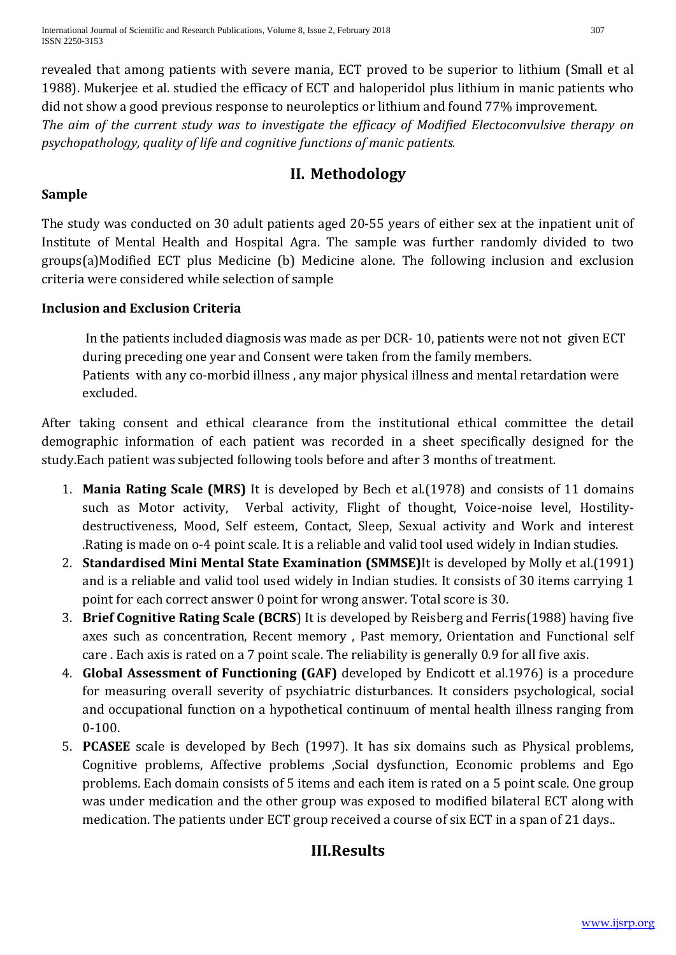revealed that among patients with severe mania, ECT proved to be superior to lithium (Small et al 1988). Mukerjee et al. studied the efficacy of ECT and haloperidol plus lithium in manic patients who did not show a good previous response to neuroleptics or lithium and found 77% improvement. *The aim of the current study was to investigate the efficacy of Modified Electoconvulsive therapy on psychopathology, quality of life and cognitive functions of manic patients.*

# **II. Methodology**

## **Sample**

The study was conducted on 30 adult patients aged 20-55 years of either sex at the inpatient unit of Institute of Mental Health and Hospital Agra. The sample was further randomly divided to two groups(a)Modified ECT plus Medicine (b) Medicine alone. The following inclusion and exclusion criteria were considered while selection of sample

## **Inclusion and Exclusion Criteria**

In the patients included diagnosis was made as per DCR- 10, patients were not not given ECT during preceding one year and Consent were taken from the family members. Patients with any co-morbid illness , any major physical illness and mental retardation were excluded.

After taking consent and ethical clearance from the institutional ethical committee the detail demographic information of each patient was recorded in a sheet specifically designed for the study.Each patient was subjected following tools before and after 3 months of treatment.

- 1. **Mania Rating Scale (MRS)** It is developed by Bech et al.(1978) and consists of 11 domains such as Motor activity, Verbal activity, Flight of thought, Voice-noise level, Hostilitydestructiveness, Mood, Self esteem, Contact, Sleep, Sexual activity and Work and interest .Rating is made on o-4 point scale. It is a reliable and valid tool used widely in Indian studies.
- 2. **Standardised Mini Mental State Examination (SMMSE)**It is developed by Molly et al.(1991) and is a reliable and valid tool used widely in Indian studies. It consists of 30 items carrying 1 point for each correct answer 0 point for wrong answer. Total score is 30.
- 3. **Brief Cognitive Rating Scale (BCRS**) It is developed by Reisberg and Ferris(1988) having five axes such as concentration, Recent memory , Past memory, Orientation and Functional self care . Each axis is rated on a 7 point scale. The reliability is generally 0.9 for all five axis.
- 4. **Global Assessment of Functioning (GAF)** developed by Endicott et al.1976) is a procedure for measuring overall severity of psychiatric disturbances. It considers psychological, social and occupational function on a hypothetical continuum of mental health illness ranging from 0-100.
- 5. **PCASEE** scale is developed by Bech (1997). It has six domains such as Physical problems, Cognitive problems, Affective problems ,Social dysfunction, Economic problems and Ego problems. Each domain consists of 5 items and each item is rated on a 5 point scale. One group was under medication and the other group was exposed to modified bilateral ECT along with medication. The patients under ECT group received a course of six ECT in a span of 21 days..

# **III.Results**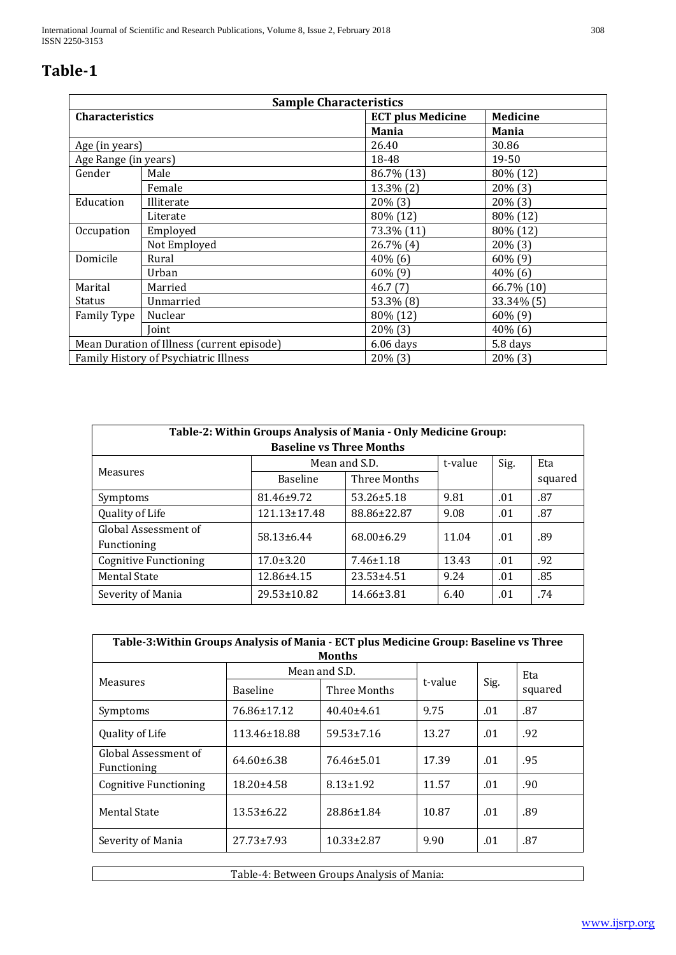# **Table-1**

| <b>Sample Characteristics</b>              |                                        |                          |                 |  |
|--------------------------------------------|----------------------------------------|--------------------------|-----------------|--|
| Characteristics                            |                                        | <b>ECT plus Medicine</b> | <b>Medicine</b> |  |
|                                            |                                        | <b>Mania</b>             | <b>Mania</b>    |  |
| Age (in years)                             |                                        | 26.40                    | 30.86           |  |
|                                            | 19-50<br>Age Range (in years)<br>18-48 |                          |                 |  |
| Gender                                     | Male                                   | 86.7% (13)               | 80% (12)        |  |
|                                            | Female                                 | $13.3\%$ $(2)$           | $20\%$ (3)      |  |
| Education                                  | Illiterate                             | $20\%$ (3)               | $20\%$ (3)      |  |
|                                            | Literate                               | 80% (12)                 | 80% (12)        |  |
| Occupation                                 | Employed                               | 73.3% (11)               | 80% (12)        |  |
|                                            | Not Employed                           | $26.7\%$ (4)             | $20\%$ (3)      |  |
| Domicile                                   | Rural                                  | $40\%$ (6)               | $60\%$ (9)      |  |
|                                            | Urban                                  | $60\%$ (9)               | $40\%$ (6)      |  |
| Marital                                    | Married                                | 46.7(7)                  | 66.7% (10)      |  |
| Status                                     | Unmarried                              | 53.3% (8)                | 33.34% (5)      |  |
| Family Type                                | Nuclear                                | 80% (12)                 | $60\%$ (9)      |  |
|                                            | Joint                                  | $20\%$ (3)               | 40% (6)         |  |
| Mean Duration of Illness (current episode) |                                        | $6.06$ days              | 5.8 days        |  |
| Family History of Psychiatric Illness      |                                        | $20\%$ (3)               | $20\%$ (3)      |  |

| Table-2: Within Groups Analysis of Mania - Only Medicine Group: |                    |                  |         |      |         |  |  |
|-----------------------------------------------------------------|--------------------|------------------|---------|------|---------|--|--|
| <b>Baseline vs Three Months</b>                                 |                    |                  |         |      |         |  |  |
|                                                                 | Mean and S.D.      |                  | t-value | Sig. | Eta     |  |  |
| Measures                                                        | <b>Baseline</b>    | Three Months     |         |      | squared |  |  |
| Symptoms                                                        | 81.46±9.72         | $53.26 \pm 5.18$ | 9.81    | .01  | .87     |  |  |
| Quality of Life                                                 | $121.13 \pm 17.48$ | 88.86±22.87      | 9.08    | .01  | .87     |  |  |
| Global Assessment of                                            | $58.13 \pm 6.44$   | $68.00 \pm 6.29$ | 11.04   | .01  | .89     |  |  |
| Functioning                                                     |                    |                  |         |      |         |  |  |
| <b>Cognitive Functioning</b>                                    | $17.0 \pm 3.20$    | $7.46 \pm 1.18$  | 13.43   | .01  | .92     |  |  |
| <b>Mental State</b>                                             | 12.86±4.15         | $23.53 \pm 4.51$ | 9.24    | .01  | .85     |  |  |
| Severity of Mania                                               | $29.53 \pm 10.82$  | 14.66±3.81       | 6.40    | .01  | .74     |  |  |

| Table-3: Within Groups Analysis of Mania - ECT plus Medicine Group: Baseline vs Three<br><b>Months</b> |                  |                  |         |      |         |  |
|--------------------------------------------------------------------------------------------------------|------------------|------------------|---------|------|---------|--|
| Measures                                                                                               | Mean and S.D.    |                  | t-value | Sig. | Eta     |  |
|                                                                                                        | <b>Baseline</b>  | Three Months     |         |      | squared |  |
| Symptoms                                                                                               | 76.86±17.12      | $40.40\pm4.61$   | 9.75    | .01  | .87     |  |
| Quality of Life                                                                                        | 113.46±18.88     | $59.53 \pm 7.16$ | 13.27   | .01  | .92     |  |
| Global Assessment of<br>Functioning                                                                    | $64.60\pm 6.38$  | 76.46±5.01       | 17.39   | .01  | .95     |  |
| <b>Cognitive Functioning</b>                                                                           | $18.20 \pm 4.58$ | $8.13 \pm 1.92$  | 11.57   | .01  | .90     |  |
| <b>Mental State</b>                                                                                    | $13.53 \pm 6.22$ | 28.86±1.84       | 10.87   | .01  | .89     |  |
| Severity of Mania                                                                                      | $27.73 \pm 7.93$ | $10.33 \pm 2.87$ | 9.90    | .01  | .87     |  |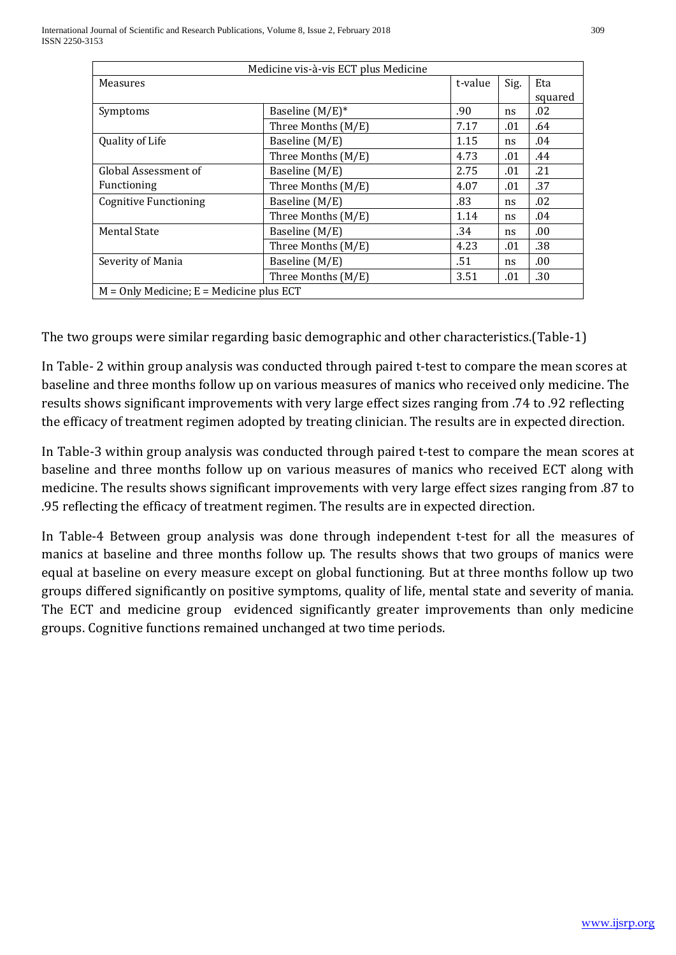| Medicine vis-à-vis ECT plus Medicine       |                    |         |      |         |  |  |
|--------------------------------------------|--------------------|---------|------|---------|--|--|
| Measures                                   |                    | t-value | Sig. | Eta     |  |  |
|                                            |                    |         |      | squared |  |  |
| Symptoms                                   | Baseline (M/E)*    | .90     | ns   | .02     |  |  |
|                                            | Three Months (M/E) | 7.17    | .01  | .64     |  |  |
| Quality of Life                            | Baseline (M/E)     | 1.15    | ns   | .04     |  |  |
|                                            | Three Months (M/E) | 4.73    | .01  | .44     |  |  |
| Global Assessment of                       | Baseline (M/E)     | 2.75    | .01  | .21     |  |  |
| Functioning                                | Three Months (M/E) | 4.07    | .01  | .37     |  |  |
| <b>Cognitive Functioning</b>               | Baseline (M/E)     | .83     | ns   | .02     |  |  |
|                                            | Three Months (M/E) | 1.14    | ns   | .04     |  |  |
| Mental State                               | Baseline $(M/E)$   | .34     | ns   | .00     |  |  |
|                                            | Three Months (M/E) | 4.23    | .01  | .38     |  |  |
| Severity of Mania                          | Baseline (M/E)     | .51     | ns   | .00.    |  |  |
|                                            | Three Months (M/E) | 3.51    | .01  | .30     |  |  |
| $M =$ Only Medicine; E = Medicine plus ECT |                    |         |      |         |  |  |

The two groups were similar regarding basic demographic and other characteristics.(Table-1)

In Table- 2 within group analysis was conducted through paired t-test to compare the mean scores at baseline and three months follow up on various measures of manics who received only medicine. The results shows significant improvements with very large effect sizes ranging from .74 to .92 reflecting the efficacy of treatment regimen adopted by treating clinician. The results are in expected direction.

In Table-3 within group analysis was conducted through paired t-test to compare the mean scores at baseline and three months follow up on various measures of manics who received ECT along with medicine. The results shows significant improvements with very large effect sizes ranging from .87 to .95 reflecting the efficacy of treatment regimen. The results are in expected direction.

In Table-4 Between group analysis was done through independent t-test for all the measures of manics at baseline and three months follow up. The results shows that two groups of manics were equal at baseline on every measure except on global functioning. But at three months follow up two groups differed significantly on positive symptoms, quality of life, mental state and severity of mania. The ECT and medicine group evidenced significantly greater improvements than only medicine groups. Cognitive functions remained unchanged at two time periods.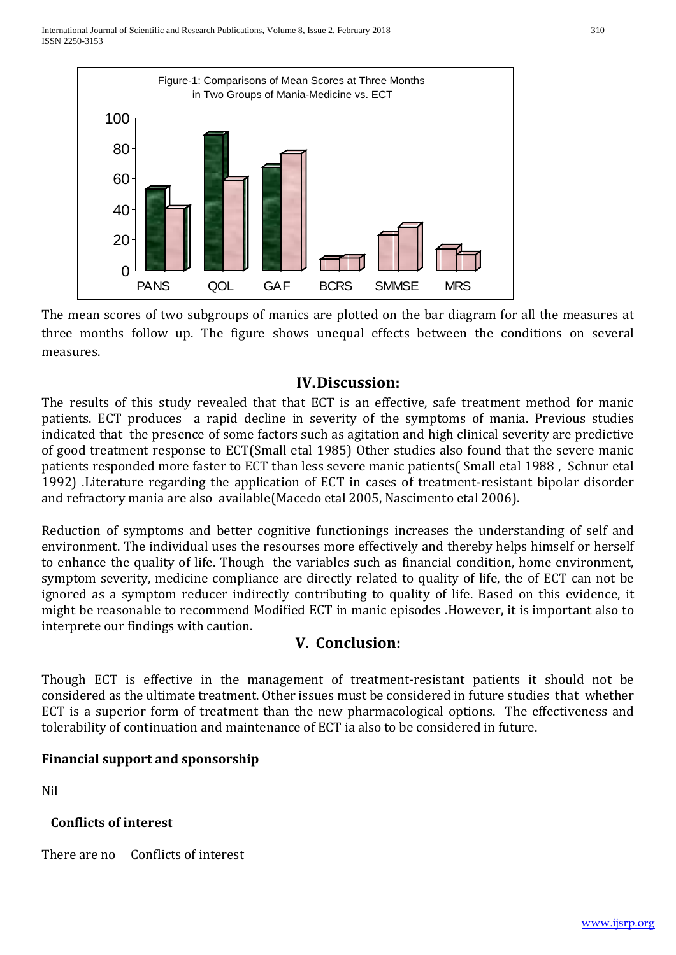

The mean scores of two subgroups of manics are plotted on the bar diagram for all the measures at three months follow up. The figure shows unequal effects between the conditions on several measures.

#### **IV.Discussion:**

The results of this study revealed that that ECT is an effective, safe treatment method for manic patients. ECT produces a rapid decline in severity of the symptoms of mania. Previous studies indicated that the presence of some factors such as agitation and high clinical severity are predictive of good treatment response to ECT(Small etal 1985) Other studies also found that the severe manic patients responded more faster to ECT than less severe manic patients( Small etal 1988 , Schnur etal 1992) .Literature regarding the application of ECT in cases of treatment-resistant bipolar disorder and refractory mania are also available(Macedo etal 2005, Nascimento etal 2006).

Reduction of symptoms and better cognitive functionings increases the understanding of self and environment. The individual uses the resourses more effectively and thereby helps himself or herself to enhance the quality of life. Though the variables such as financial condition, home environment, symptom severity, medicine compliance are directly related to quality of life, the of ECT can not be ignored as a symptom reducer indirectly contributing to quality of life. Based on this evidence, it might be reasonable to recommend Modified ECT in manic episodes .However, it is important also to interprete our findings with caution.

## **V. Conclusion:**

Though ECT is effective in the management of treatment-resistant patients it should not be considered as the ultimate treatment. Other issues must be considered in future studies that whether ECT is a superior form of treatment than the new pharmacological options. The effectiveness and tolerability of continuation and maintenance of ECT ia also to be considered in future.

## **Financial support and sponsorship**

Nil

## **Conflicts of interest**

There are no Conflicts of interest